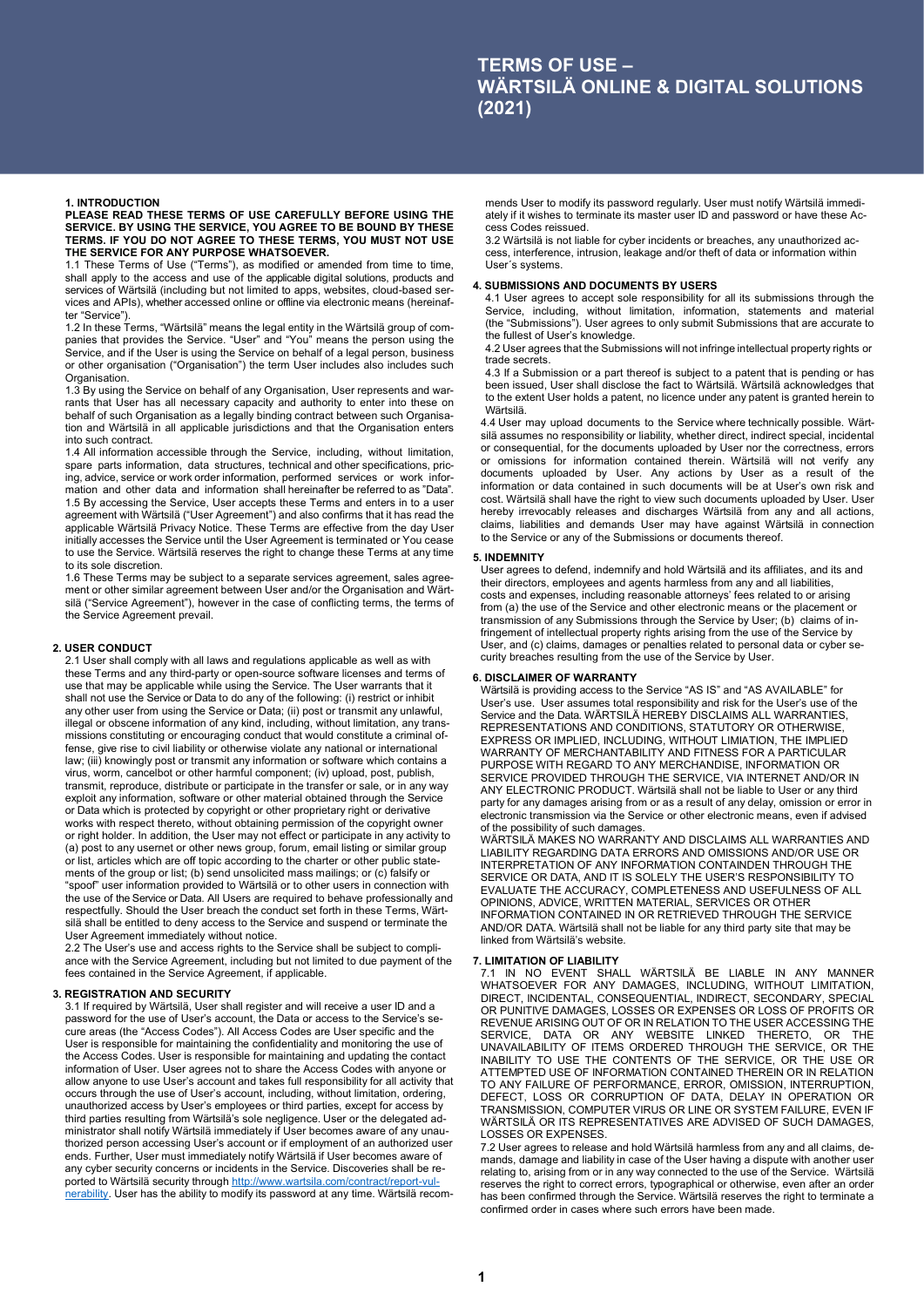## **1. INTRODUCTION PLEASE READ THESE TERMS OF USE CAREFULLY BEFORE USING THE SERVICE. BY USING THE SERVICE, YOU AGREE TO BE BOUND BY THESE TERMS. IF YOU DO NOT AGREE TO THESE TERMS, YOU MUST NOT USE THE SERVICE FOR ANY PURPOSE WHATSOEVER.**

1.1 These Terms of Use ("Terms"), as modified or amended from time to time, shall apply to the access and use of the applicable digital solutions, products and services of Wärtsilä (including but not limited to apps, websites, cloud-based services and APIs), whether accessed online or offline via electronic means (hereinafter "Service").

1.2 In these Terms, "Wärtsilä" means the legal entity in the Wärtsilä group of companies that provides the Service. "User" and "You" means the person using the Service, and if the User is using the Service on behalf of a legal person, business or other organisation ("Organisation") the term User includes also includes such Organisation.

1.3 By using the Service on behalf of any Organisation, User represents and warrants that User has all necessary capacity and authority to enter into these on behalf of such Organisation as a legally binding contract between such Organisation and Wärtsilä in all applicable jurisdictions and that the Organisation enters into such contract.

1.4 All information accessible through the Service, including, without limitation, spare parts information, data structures, technical and other specifications, pricing, advice, service or work order information, performed services or work information and other data and information shall hereinafter be referred to as "Data". 1.5 By accessing the Service, User accepts these Terms and enters in to a user agreement with Wärtsilä ("User Agreement") and also confirms that it has read the applicable Wärtsilä Privacy Notice. These Terms are effective from the day User initially accesses the Service until the User Agreement is terminated or You cease to use the Service. Wärtsilä reserves the right to change these Terms at any time to its sole discretion.

1.6 These Terms may be subject to a separate services agreement, sales agreement or other similar agreement between User and/or the Organisation and Wärtsilä ("Service Agreement"), however in the case of conflicting terms, the terms of the Service Agreement prevail.

# **2. USER CONDUCT**

2.1 User shall comply with all laws and regulations applicable as well as with these Terms and any third-party or open-source software licenses and terms of use that may be applicable while using the Service. The User warrants that it shall not use the Service or Data to do any of the following: (i) restrict or inhibit any other user from using the Service or Data; (ii) post or transmit any unlawful, illegal or obscene information of any kind, including, without limitation, any transmissions constituting or encouraging conduct that would constitute a criminal offense, give rise to civil liability or otherwise violate any national or international law; (iii) knowingly post or transmit any information or software which contains a virus, worm, cancelbot or other harmful component; (iv) upload, post, publish, transmit, reproduce, distribute or participate in the transfer or sale, or in any way exploit any information, software or other material obtained through the Service or Data which is protected by copyright or other proprietary right or derivative works with respect thereto, without obtaining permission of the copyright owner or right holder. In addition, the User may not effect or participate in any activity to (a) post to any usernet or other news group, forum, email listing or similar group or list, articles which are off topic according to the charter or other public statements of the group or list; (b) send unsolicited mass mailings; or (c) falsify or "spoof" user information provided to Wärtsilä or to other users in connection with the use of the Service or Data. All Users are required to behave professionally and respectfully. Should the User breach the conduct set forth in these Terms, Wärtsilä shall be entitled to deny access to the Service and suspend or terminate the User Agreement immediately without notice.

2.2 The User's use and access rights to the Service shall be subject to compliance with the Service Agreement, including but not limited to due payment of the fees contained in the Service Agreement, if applicable.

# **3. REGISTRATION AND SECURITY**

3.1 If required by Wärtsilä, User shall register and will receive a user ID and a password for the use of User's account, the Data or access to the Service's secure areas (the "Access Codes"). All Access Codes are User specific and the User is responsible for maintaining the confidentiality and monitoring the use of the Access Codes. User is responsible for maintaining and updating the contact information of User. User agrees not to share the Access Codes with anyone or allow anyone to use User's account and takes full responsibility for all activity that occurs through the use of User's account, including, without limitation, ordering, unauthorized access by User's employees or third parties, except for access by third parties resulting from Wärtsilä's sole negligence. User or the delegated administrator shall notify Wärtsilä immediately if User becomes aware of any unauthorized person accessing User's account or if employment of an authorized user ends. Further, User must immediately notify Wärtsilä if User becomes aware of any cyber security concerns or incidents in the Service. Discoveries shall be reported to Wärtsilä security through [http://www.wartsila.com/contract/report-vul](http://www.wartsila.com/contract/report-vulnerability)[nerability.](http://www.wartsila.com/contract/report-vulnerability) User has the ability to modify its password at any time. Wärtsilä recom-

mends User to modify its password regularly. User must notify Wärtsilä immediately if it wishes to terminate its master user ID and password or have these Access Codes reissued.

3.2 Wärtsilä is not liable for cyber incidents or breaches, any unauthorized access, interference, intrusion, leakage and/or theft of data or information within User´s systems.

# **4. SUBMISSIONS AND DOCUMENTS BY USERS**

4.1 User agrees to accept sole responsibility for all its submissions through the Service, including, without limitation, information, statements and material (the "Submissions"). User agrees to only submit Submissions that are accurate to the fullest of User's knowledge.

4.2 User agrees that the Submissions will not infringe intellectual property rights or trade secrets.

4.3 If a Submission or a part thereof is subject to a patent that is pending or has been issued, User shall disclose the fact to Wärtsilä. Wärtsilä acknowledges that to the extent User holds a patent, no licence under any patent is granted herein to Wärtsilä.

4.4 User may upload documents to the Service where technically possible. Wärtsilä assumes no responsibility or liability, whether direct, indirect special, incidental or consequential, for the documents uploaded by User nor the correctness, errors or omissions for information contained therein. Wärtsilä will not verify any documents uploaded by User. Any actions by User as a result of the information or data contained in such documents will be at User's own risk and cost. Wärtsilä shall have the right to view such documents uploaded by User. User hereby irrevocably releases and discharges Wärtsilä from any and all actions, claims, liabilities and demands User may have against Wärtsilä in connection to the Service or any of the Submissions or documents thereof.

#### **5. INDEMNITY**

User agrees to defend, indemnify and hold Wärtsilä and its affiliates, and its and their directors, employees and agents harmless from any and all liabilities costs and expenses, including reasonable attorneys' fees related to or arising from (a) the use of the Service and other electronic means or the placement or transmission of any Submissions through the Service by User; (b) claims of infringement of intellectual property rights arising from the use of the Service by User, and (c) claims, damages or penalties related to personal data or cyber security breaches resulting from the use of the Service by User.

### **6. DISCLAIMER OF WARRANTY**

Wärtsilä is providing access to the Service "AS IS" and "AS AVAILABLE" for User's use. User assumes total responsibility and risk for the User's use of the Service and the Data. WÄRTSILÄ HEREBY DISCLAIMS ALL WARRANTIES, REPRESENTATIONS AND CONDITIONS, STATUTORY OR OTHERWISE EXPRESS OR IMPLIED, INCLUDING, WITHOUT LIMIATION, THE IMPLIED WARRANTY OF MERCHANTABILITY AND FITNESS FOR A PARTICULAR PURPOSE WITH REGARD TO ANY MERCHANDISE, INFORMATION OR SERVICE PROVIDED THROUGH THE SERVICE, VIA INTERNET AND/OR IN ANY ELECTRONIC PRODUCT. Wärtsilä shall not be liable to User or any third party for any damages arising from or as a result of any delay, omission or error in electronic transmission via the Service or other electronic means, even if advised of the possibility of such damages.

WÄRTSILÄ MAKES NO WARRANTY AND DISCLAIMS ALL WARRANTIES AND LIABILITY REGARDING DATA ERRORS AND OMISSIONS AND/OR USE OR INTERPRETATION OF ANY INFORMATION CONTAINDEN THROUGH THE SERVICE OR DATA, AND IT IS SOLELY THE USER'S RESPONSIBILITY TO EVALUATE THE ACCURACY, COMPLETENESS AND USEFULNESS OF ALL OPINIONS, ADVICE, WRITTEN MATERIAL, SERVICES OR OTHER INFORMATION CONTAINED IN OR RETRIEVED THROUGH THE SERVICE AND/OR DATA. Wärtsilä shall not be liable for any third party site that may be linked from Wärtsilä's website.

#### **7. LIMITATION OF LIABILITY**

7.1 IN NO EVENT SHALL WÄRTSILÄ BE LIABLE IN ANY MANNER WHATSOEVER FOR ANY DAMAGES, INCLUDING, WITHOUT LIMITATION, DIRECT, INCIDENTAL, CONSEQUENTIAL, INDIRECT, SECONDARY, SPECIAL OR PUNITIVE DAMAGES, LOSSES OR EXPENSES OR LOSS OF PROFITS OR REVENUE ARISING OUT OF OR IN RELATION TO THE USER ACCESSING THE SERVICE, DATA OR ANY WEBSITE LINKED THERETO, OR THE UNAVAILABILITY OF ITEMS ORDERED THROUGH THE SERVICE, OR THE INABILITY TO USE THE CONTENTS OF THE SERVICE, OR THE USE OR ATTEMPTED USE OF INFORMATION CONTAINED THEREIN OR IN RELATION TO ANY FAILURE OF PERFORMANCE, ERROR, OMISSION, INTERRUPTION, DEFECT, LOSS OR CORRUPTION OF DATA, DELAY IN OPERATION OR TRANSMISSION, COMPUTER VIRUS OR LINE OR SYSTEM FAILURE, EVEN IF WÄRTSILÄ OR ITS REPRESENTATIVES ARE ADVISED OF SUCH DAMAGES, LOSSES OR EXPENSES.

7.2 User agrees to release and hold Wärtsilä harmless from any and all claims, demands, damage and liability in case of the User having a dispute with another user relating to, arising from or in any way connected to the use of the Service. Wärtsilä reserves the right to correct errors, typographical or otherwise, even after an order has been confirmed through the Service. Wärtsilä reserves the right to terminate a confirmed order in cases where such errors have been made.